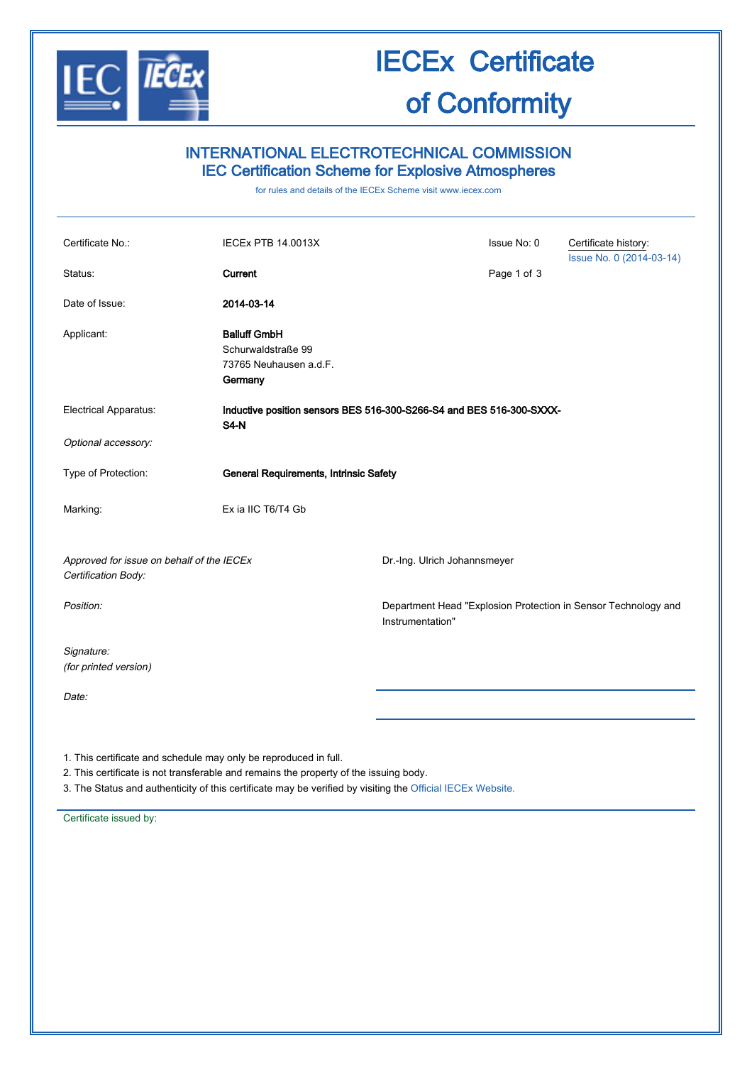

# IECEx Certificate of Conformity

## INTERNATIONAL ELECTROTECHNICAL COMMISSION IEC Certification Scheme for Explosive Atmospheres

for rules and details of the IECEx Scheme visit [www.iecex.com](http://www.iecex.com/)

| Certificate No.:                                                 | <b>IECEX PTB 14.0013X</b>                                                           |                                                                                    | Issue No: 0 | Certificate history:<br>Issue No. 0 (2014-03-14) |
|------------------------------------------------------------------|-------------------------------------------------------------------------------------|------------------------------------------------------------------------------------|-------------|--------------------------------------------------|
| Status:                                                          | Current                                                                             |                                                                                    | Page 1 of 3 |                                                  |
| Date of Issue:                                                   | 2014-03-14                                                                          |                                                                                    |             |                                                  |
| Applicant:                                                       | <b>Balluff GmbH</b><br>Schurwaldstraße 99<br>73765 Neuhausen a.d.F.<br>Germany      |                                                                                    |             |                                                  |
| <b>Electrical Apparatus:</b>                                     | Inductive position sensors BES 516-300-S266-S4 and BES 516-300-SXXX-<br><b>S4-N</b> |                                                                                    |             |                                                  |
| Optional accessory:                                              |                                                                                     |                                                                                    |             |                                                  |
| Type of Protection:                                              | General Requirements, Intrinsic Safety                                              |                                                                                    |             |                                                  |
| Marking:                                                         | Ex ia IIC T6/T4 Gb                                                                  |                                                                                    |             |                                                  |
| Approved for issue on behalf of the IECEx<br>Certification Body: |                                                                                     | Dr.-Ing. Ulrich Johannsmeyer                                                       |             |                                                  |
| Position:                                                        |                                                                                     | Department Head "Explosion Protection in Sensor Technology and<br>Instrumentation" |             |                                                  |
| Signature:<br>(for printed version)                              |                                                                                     |                                                                                    |             |                                                  |
| Date:                                                            |                                                                                     |                                                                                    |             |                                                  |
|                                                                  |                                                                                     |                                                                                    |             |                                                  |

1. This certificate and schedule may only be reproduced in full.

2. This certificate is not transferable and remains the property of the issuing body.

3. The Status and authenticity of this certificate may be verified by visiting the [Official IECEx Website.](http://iecex.iec.ch/)

Certificate issued by: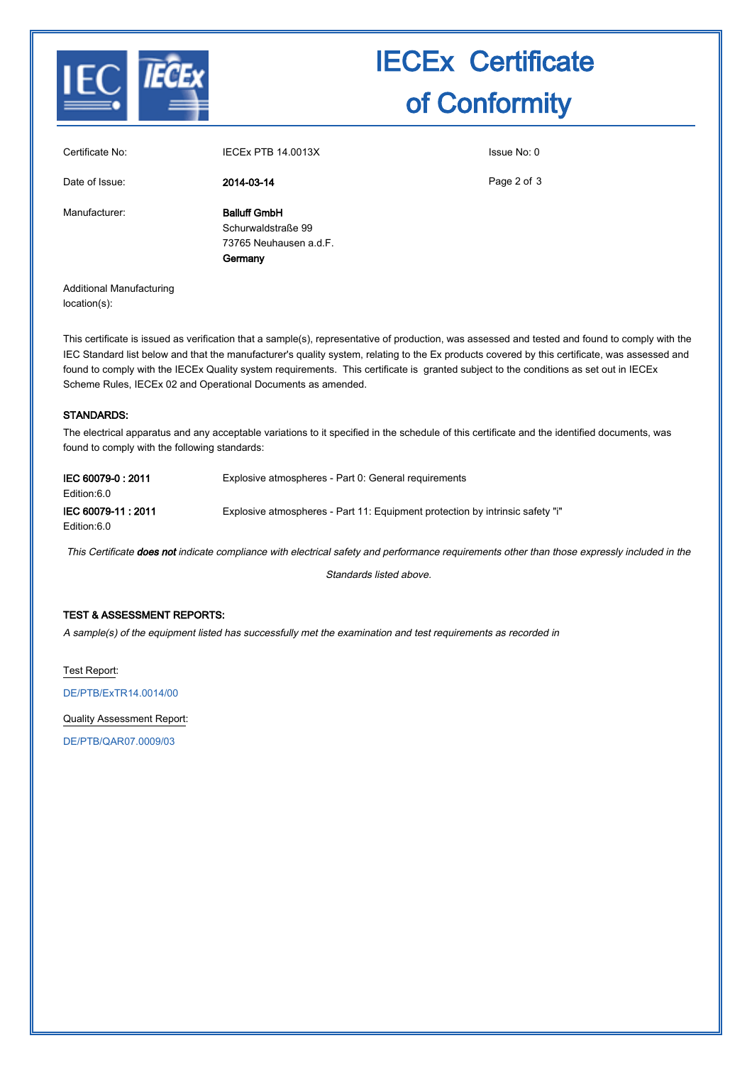

# IECEx Certificate of Conformity

| Certificate No: | <b>IECEX PTB 14.0013X</b>                                                      | Issue No: 0 |
|-----------------|--------------------------------------------------------------------------------|-------------|
| Date of Issue:  | 2014-03-14                                                                     | Page 2 of 3 |
| Manufacturer:   | <b>Balluff GmbH</b><br>Schurwaldstraße 99<br>73765 Neuhausen a.d.F.<br>Germany |             |

Additional Manufacturing location(s):

This certificate is issued as verification that a sample(s), representative of production, was assessed and tested and found to comply with the IEC Standard list below and that the manufacturer's quality system, relating to the Ex products covered by this certificate, was assessed and found to comply with the IECEx Quality system requirements. This certificate is granted subject to the conditions as set out in IECEx Scheme Rules, IECEx 02 and Operational Documents as amended.

### STANDARDS:

The electrical apparatus and any acceptable variations to it specified in the schedule of this certificate and the identified documents, was found to comply with the following standards:

| IEC 60079-0:2011<br>Edition:6.0  | Explosive atmospheres - Part 0: General requirements                          |
|----------------------------------|-------------------------------------------------------------------------------|
| IEC 60079-11:2011<br>Edition:6.0 | Explosive atmospheres - Part 11: Equipment protection by intrinsic safety "i" |

This Certificate does not indicate compliance with electrical safety and performance requirements other than those expressly included in the

Standards listed above.

### TEST & ASSESSMENT REPORTS:

A sample(s) of the equipment listed has successfully met the examination and test requirements as recorded in

Test Report:

[DE/PTB/ExTR14.0014/00](http://iecex.iec.ch/iecex/IECExWeb.nsf/ExTRNumber/DE/PTB/ExTR14.0014/00?OpenDocument)

Quality Assessment Report:

[DE/PTB/QAR07.0009/03](http://iecex.iec.ch/iecex/IECExWeb.nsf/QARNumber/DE/PTB/QAR07.0009/03?OpenDocument)